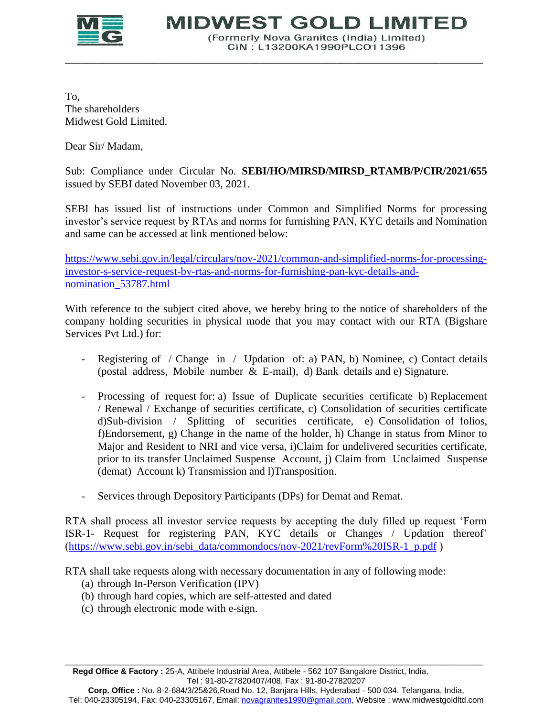

**MIDWEST GOLD LIMITED** 

(Formerly Nova Granites (India) Limited) CIN: L13200KA1990PLCO11396

To, The shareholders Midwest Gold Limited.

Dear Sir/ Madam,

Sub: Compliance under Circular No. **SEBI/HO/MIRSD/MIRSD\_RTAMB/P/CIR/2021/655** issued by SEBI dated November 03, 2021.

\_\_\_\_\_\_\_\_\_\_\_\_\_\_\_\_\_\_\_\_\_\_\_\_\_\_\_\_\_\_\_\_\_\_\_\_\_\_\_\_\_\_\_\_\_\_\_\_\_\_\_\_\_\_\_\_\_\_\_\_\_\_\_\_\_\_\_\_\_\_\_\_\_\_\_\_\_

SEBI has issued list of instructions under Common and Simplified Norms for processing investor's service request by RTAs and norms for furnishing PAN, KYC details and Nomination and same can be accessed at link mentioned below:

[https://www.sebi.gov.in/legal/circulars/nov-2021/common-and-simplified-norms-for-processing](https://www.sebi.gov.in/legal/circulars/nov-2021/common-and-simplified-norms-for-processing-investor-s-service-request-by-rtas-and-norms-for-furnishing-pan-kyc-details-and-nomination_53787.html)[investor-s-service-request-by-rtas-and-norms-for-furnishing-pan-kyc-details-and](https://www.sebi.gov.in/legal/circulars/nov-2021/common-and-simplified-norms-for-processing-investor-s-service-request-by-rtas-and-norms-for-furnishing-pan-kyc-details-and-nomination_53787.html)[nomination\\_53787.html](https://www.sebi.gov.in/legal/circulars/nov-2021/common-and-simplified-norms-for-processing-investor-s-service-request-by-rtas-and-norms-for-furnishing-pan-kyc-details-and-nomination_53787.html)

With reference to the subject cited above, we hereby bring to the notice of shareholders of the company holding securities in physical mode that you may contact with our RTA (Bigshare Services Pvt Ltd.) for:

- Registering of / Change in / Updation of: a) PAN, b) Nominee, c) Contact details (postal address, Mobile number & E-mail), d) Bank details and e) Signature.
- Processing of request for: a) Issue of Duplicate securities certificate b) Replacement / Renewal / Exchange of securities certificate, c) Consolidation of securities certificate d)Sub-division / Splitting of securities certificate, e) Consolidation of folios, f)Endorsement, g) Change in the name of the holder, h) Change in status from Minor to Major and Resident to NRI and vice versa, i)Claim for undelivered securities certificate, prior to its transfer Unclaimed Suspense Account, j) Claim from Unclaimed Suspense (demat) Account k) Transmission and l)Transposition.
- Services through Depository Participants (DPs) for Demat and Remat.

RTA shall process all investor service requests by accepting the duly filled up request 'Form ISR-1- Request for registering PAN, KYC details or Changes / Updation thereof' [\(https://www.sebi.gov.in/sebi\\_data/commondocs/nov-2021/revForm%20ISR-1\\_p.pdf](https://www.sebi.gov.in/sebi_data/commondocs/nov-2021/revForm%20ISR-1_p.pdf) )

RTA shall take requests along with necessary documentation in any of following mode:

- (a) through In-Person Verification (IPV)
- (b) through hard copies, which are self-attested and dated
- (c) through electronic mode with e-sign.

\_\_\_\_\_\_\_\_\_\_\_\_\_\_\_\_\_\_\_\_\_\_\_\_\_\_\_\_\_\_\_\_\_\_\_\_\_\_\_\_\_\_\_\_\_\_\_\_\_\_\_\_\_\_\_\_\_\_\_\_\_\_\_\_\_\_\_\_\_\_\_\_\_\_\_\_\_ **Regd Office & Factory :** 25-A, Attibele Industrial Area, Attibele - 562 107 Bangalore District, India, Tel : 91-80-27820407/408, Fax : 91-80-27820207

**Corp. Office :** No. 8-2-684/3/25&26,Road No. 12, Banjara Hills, Hyderabad - 500 034. Telangana, India, Tel: 040-23305194, Fax: 040-23305167, Email: novagranites1990@gmail.com, Website : www.midwestgoldltd.com